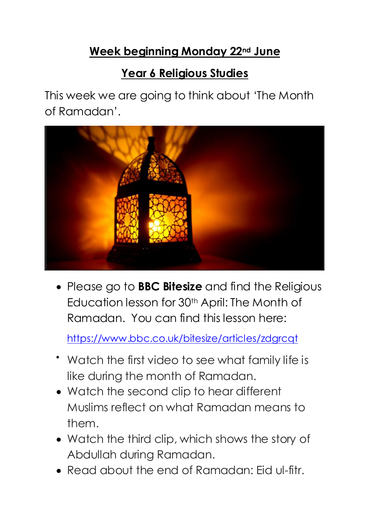# **Week beginning Monday 22nd June**

# **Year 6 Religious Studies**

This week we are going to think about 'The Month of Ramadan'.



 Please go to **BBC Bitesize** and find the Religious Education lesson for 30<sup>th</sup> April: The Month of Ramadan. You can find this lesson here:

<https://www.bbc.co.uk/bitesize/articles/zdgrcqt>

- Watch the first video to see what family life is like during the month of Ramadan.
- Watch the second clip to hear different Muslims reflect on what Ramadan means to them.
- Watch the third clip, which shows the story of Abdullah during Ramadan.
- Read about the end of Ramadan: Eid ul-fitr.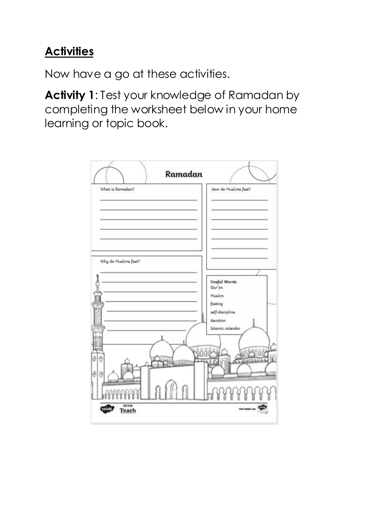# **Activities**

Now have a go at these activities.

**Activity 1**: Test your knowledge of Ramadan by completing the worksheet below in your home learning or topic book.